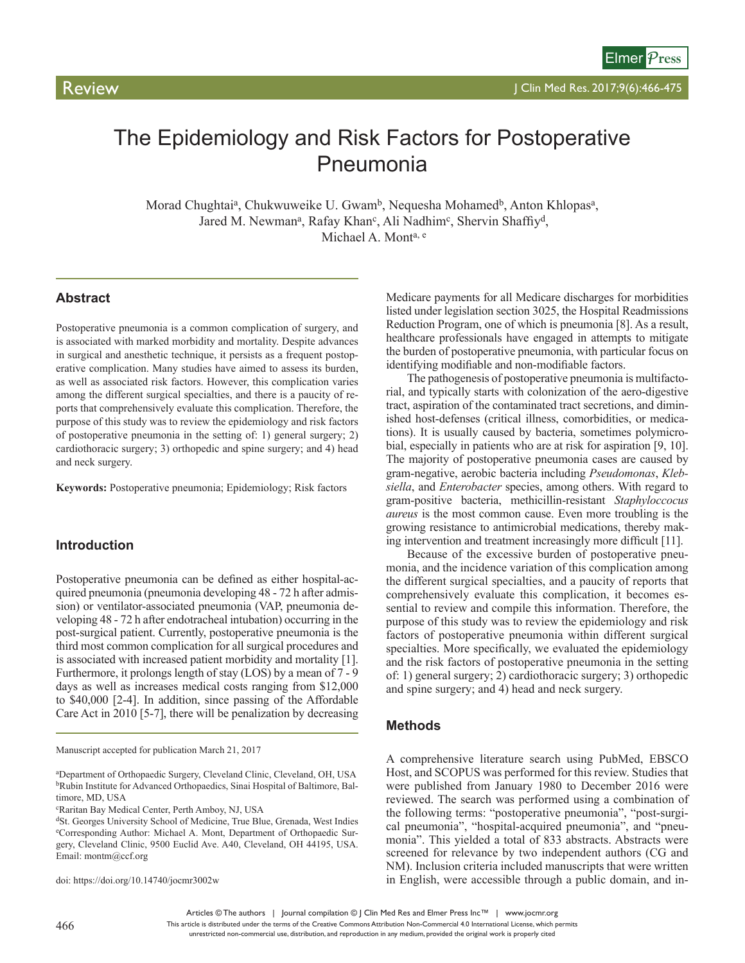# The Epidemiology and Risk Factors for Postoperative Pneumonia

Morad Chughtai<sup>a</sup>, Chukwuweike U. Gwam<sup>b</sup>, Nequesha Mohamed<sup>b</sup>, Anton Khlopas<sup>a</sup>, Jared M. Newman<sup>a</sup>, Rafay Khan<sup>c</sup>, Ali Nadhim<sup>c</sup>, Shervin Shaffiy<sup>d</sup>, Michael A. Monta, e

# **Abstract**

Postoperative pneumonia is a common complication of surgery, and is associated with marked morbidity and mortality. Despite advances in surgical and anesthetic technique, it persists as a frequent postoperative complication. Many studies have aimed to assess its burden, as well as associated risk factors. However, this complication varies among the different surgical specialties, and there is a paucity of reports that comprehensively evaluate this complication. Therefore, the purpose of this study was to review the epidemiology and risk factors of postoperative pneumonia in the setting of: 1) general surgery; 2) cardiothoracic surgery; 3) orthopedic and spine surgery; and 4) head and neck surgery.

**Keywords:** Postoperative pneumonia; Epidemiology; Risk factors

# **Introduction**

Postoperative pneumonia can be defined as either hospital-acquired pneumonia (pneumonia developing 48 - 72 h after admission) or ventilator-associated pneumonia (VAP, pneumonia developing 48 - 72 h after endotracheal intubation) occurring in the post-surgical patient. Currently, postoperative pneumonia is the third most common complication for all surgical procedures and is associated with increased patient morbidity and mortality [1]. Furthermore, it prolongs length of stay (LOS) by a mean of 7 - 9 days as well as increases medical costs ranging from \$12,000 to \$40,000 [2-4]. In addition, since passing of the Affordable Care Act in 2010 [5-7], there will be penalization by decreasing

doi: https://doi.org/10.14740/jocmr3002w

Medicare payments for all Medicare discharges for morbidities listed under legislation section 3025, the Hospital Readmissions Reduction Program, one of which is pneumonia [8]. As a result, healthcare professionals have engaged in attempts to mitigate the burden of postoperative pneumonia, with particular focus on identifying modifiable and non-modifiable factors.

The pathogenesis of postoperative pneumonia is multifactorial, and typically starts with colonization of the aero-digestive tract, aspiration of the contaminated tract secretions, and diminished host-defenses (critical illness, comorbidities, or medications). It is usually caused by bacteria, sometimes polymicrobial, especially in patients who are at risk for aspiration [9, 10]. The majority of postoperative pneumonia cases are caused by gram-negative, aerobic bacteria including *Pseudomonas*, *Klebsiella*, and *Enterobacter* species, among others. With regard to gram-positive bacteria, methicillin-resistant *Staphyloccocus aureus* is the most common cause. Even more troubling is the growing resistance to antimicrobial medications, thereby making intervention and treatment increasingly more difficult [11].

Because of the excessive burden of postoperative pneumonia, and the incidence variation of this complication among the different surgical specialties, and a paucity of reports that comprehensively evaluate this complication, it becomes essential to review and compile this information. Therefore, the purpose of this study was to review the epidemiology and risk factors of postoperative pneumonia within different surgical specialties. More specifically, we evaluated the epidemiology and the risk factors of postoperative pneumonia in the setting of: 1) general surgery; 2) cardiothoracic surgery; 3) orthopedic and spine surgery; and 4) head and neck surgery.

## **Methods**

A comprehensive literature search using PubMed, EBSCO Host, and SCOPUS was performed for this review. Studies that were published from January 1980 to December 2016 were reviewed. The search was performed using a combination of the following terms: "postoperative pneumonia", "post-surgical pneumonia", "hospital-acquired pneumonia", and "pneumonia". This yielded a total of 833 abstracts. Abstracts were screened for relevance by two independent authors (CG and NM). Inclusion criteria included manuscripts that were written in English, were accessible through a public domain, and in-

This article is distributed under the terms of the Creative Commons Attribution Non-Commercial 4.0 International License, which permits

Manuscript accepted for publication March 21, 2017

a Department of Orthopaedic Surgery, Cleveland Clinic, Cleveland, OH, USA bRubin Institute for Advanced Orthopaedics, Sinai Hospital of Baltimore, Baltimore, MD, USA

c Raritan Bay Medical Center, Perth Amboy, NJ, USA

dSt. Georges University School of Medicine, True Blue, Grenada, West Indies e Corresponding Author: Michael A. Mont, Department of Orthopaedic Surgery, Cleveland Clinic, 9500 Euclid Ave. A40, Cleveland, OH 44195, USA. Email: montm@ccf.org

Articles © The authors | Journal compilation © J Clin Med Res and Elmer Press Inc™ | www.jocmr.org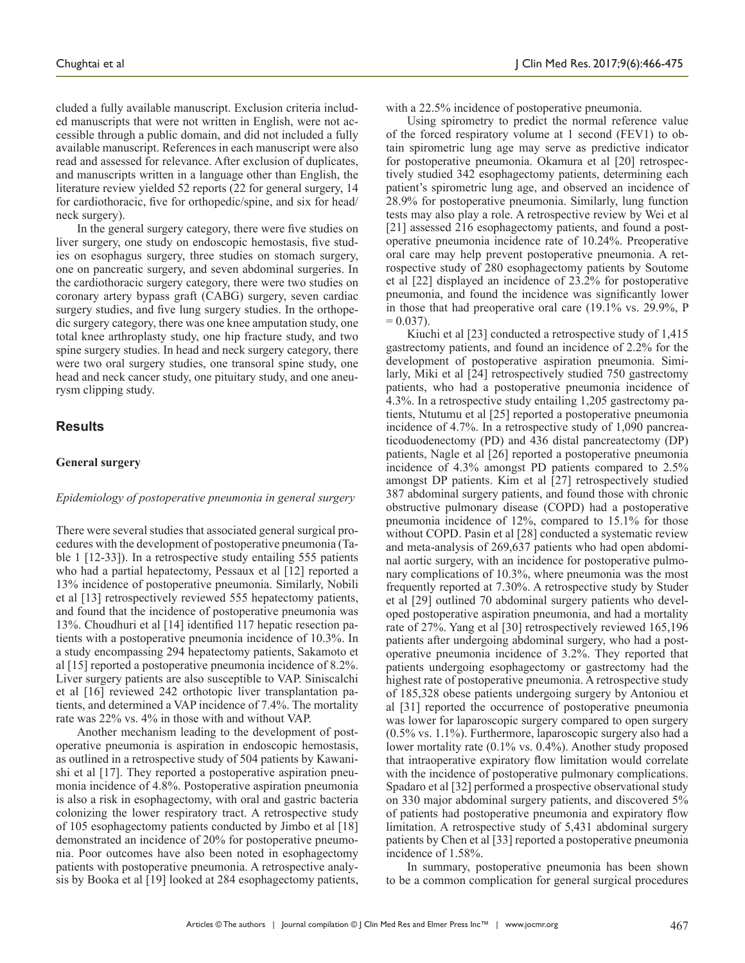cluded a fully available manuscript. Exclusion criteria included manuscripts that were not written in English, were not accessible through a public domain, and did not included a fully available manuscript. References in each manuscript were also read and assessed for relevance. After exclusion of duplicates, and manuscripts written in a language other than English, the literature review yielded 52 reports (22 for general surgery, 14 for cardiothoracic, five for orthopedic/spine, and six for head/ neck surgery).

In the general surgery category, there were five studies on liver surgery, one study on endoscopic hemostasis, five studies on esophagus surgery, three studies on stomach surgery, one on pancreatic surgery, and seven abdominal surgeries. In the cardiothoracic surgery category, there were two studies on coronary artery bypass graft (CABG) surgery, seven cardiac surgery studies, and five lung surgery studies. In the orthopedic surgery category, there was one knee amputation study, one total knee arthroplasty study, one hip fracture study, and two spine surgery studies. In head and neck surgery category, there were two oral surgery studies, one transoral spine study, one head and neck cancer study, one pituitary study, and one aneurysm clipping study.

# **Results**

#### **General surgery**

#### *Epidemiology of postoperative pneumonia in general surgery*

There were several studies that associated general surgical procedures with the development of postoperative pneumonia (Table 1 [12-33]). In a retrospective study entailing 555 patients who had a partial hepatectomy, Pessaux et al [12] reported a 13% incidence of postoperative pneumonia. Similarly, Nobili et al [13] retrospectively reviewed 555 hepatectomy patients, and found that the incidence of postoperative pneumonia was 13%. Choudhuri et al [14] identified 117 hepatic resection patients with a postoperative pneumonia incidence of 10.3%. In a study encompassing 294 hepatectomy patients, Sakamoto et al [15] reported a postoperative pneumonia incidence of 8.2%. Liver surgery patients are also susceptible to VAP. Siniscalchi et al [16] reviewed 242 orthotopic liver transplantation patients, and determined a VAP incidence of 7.4%. The mortality rate was 22% vs. 4% in those with and without VAP.

Another mechanism leading to the development of postoperative pneumonia is aspiration in endoscopic hemostasis, as outlined in a retrospective study of 504 patients by Kawanishi et al [17]. They reported a postoperative aspiration pneumonia incidence of 4.8%. Postoperative aspiration pneumonia is also a risk in esophagectomy, with oral and gastric bacteria colonizing the lower respiratory tract. A retrospective study of 105 esophagectomy patients conducted by Jimbo et al [18] demonstrated an incidence of 20% for postoperative pneumonia. Poor outcomes have also been noted in esophagectomy patients with postoperative pneumonia. A retrospective analysis by Booka et al [19] looked at 284 esophagectomy patients,

with a 22.5% incidence of postoperative pneumonia.

Using spirometry to predict the normal reference value of the forced respiratory volume at 1 second (FEV1) to obtain spirometric lung age may serve as predictive indicator for postoperative pneumonia. Okamura et al [20] retrospectively studied 342 esophagectomy patients, determining each patient's spirometric lung age, and observed an incidence of 28.9% for postoperative pneumonia. Similarly, lung function tests may also play a role. A retrospective review by Wei et al [21] assessed 216 esophagectomy patients, and found a postoperative pneumonia incidence rate of 10.24%. Preoperative oral care may help prevent postoperative pneumonia. A retrospective study of 280 esophagectomy patients by Soutome et al [22] displayed an incidence of 23.2% for postoperative pneumonia, and found the incidence was significantly lower in those that had preoperative oral care (19.1% vs. 29.9%, P  $= 0.037$ ).

Kiuchi et al [23] conducted a retrospective study of 1,415 gastrectomy patients, and found an incidence of 2.2% for the development of postoperative aspiration pneumonia. Similarly, Miki et al [24] retrospectively studied 750 gastrectomy patients, who had a postoperative pneumonia incidence of 4.3%. In a retrospective study entailing 1,205 gastrectomy patients, Ntutumu et al [25] reported a postoperative pneumonia incidence of 4.7%. In a retrospective study of 1,090 pancreaticoduodenectomy (PD) and 436 distal pancreatectomy (DP) patients, Nagle et al [26] reported a postoperative pneumonia incidence of 4.3% amongst PD patients compared to 2.5% amongst DP patients. Kim et al [27] retrospectively studied 387 abdominal surgery patients, and found those with chronic obstructive pulmonary disease (COPD) had a postoperative pneumonia incidence of 12%, compared to 15.1% for those without COPD. Pasin et al [28] conducted a systematic review and meta-analysis of 269,637 patients who had open abdominal aortic surgery, with an incidence for postoperative pulmonary complications of 10.3%, where pneumonia was the most frequently reported at 7.30%. A retrospective study by Studer et al [29] outlined 70 abdominal surgery patients who developed postoperative aspiration pneumonia, and had a mortality rate of 27%. Yang et al [30] retrospectively reviewed 165,196 patients after undergoing abdominal surgery, who had a postoperative pneumonia incidence of 3.2%. They reported that patients undergoing esophagectomy or gastrectomy had the highest rate of postoperative pneumonia. A retrospective study of 185,328 obese patients undergoing surgery by Antoniou et al [31] reported the occurrence of postoperative pneumonia was lower for laparoscopic surgery compared to open surgery (0.5% vs. 1.1%). Furthermore, laparoscopic surgery also had a lower mortality rate (0.1% vs. 0.4%). Another study proposed that intraoperative expiratory flow limitation would correlate with the incidence of postoperative pulmonary complications. Spadaro et al [32] performed a prospective observational study on 330 major abdominal surgery patients, and discovered 5% of patients had postoperative pneumonia and expiratory flow limitation. A retrospective study of 5,431 abdominal surgery patients by Chen et al [33] reported a postoperative pneumonia incidence of 1.58%.

In summary, postoperative pneumonia has been shown to be a common complication for general surgical procedures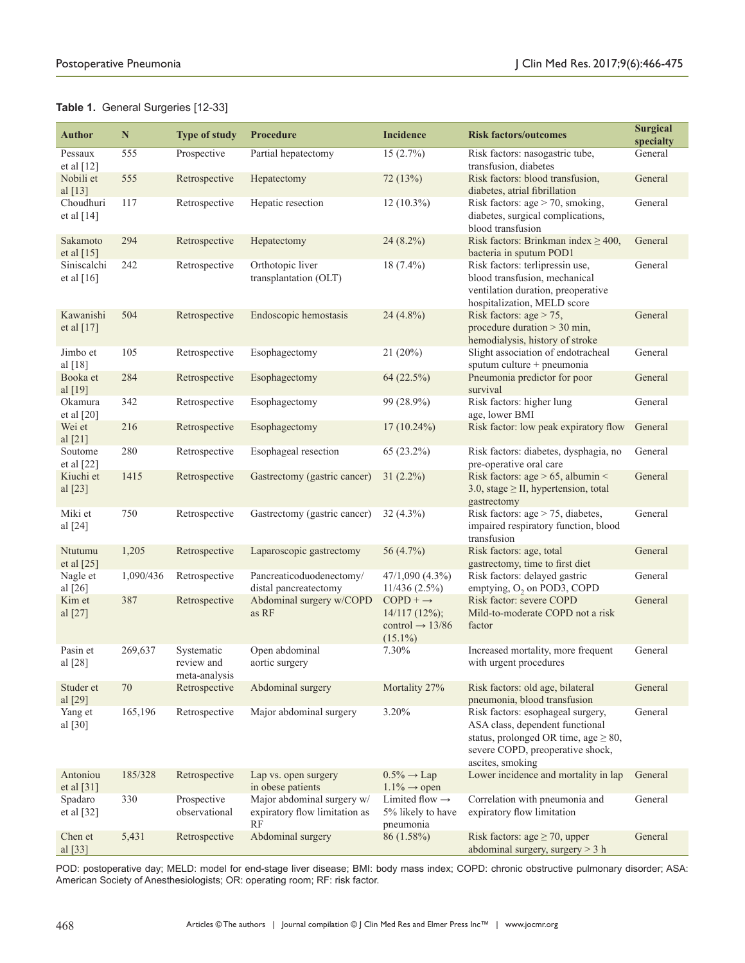|  |  | Table 1. General Surgeries [12-33] |  |
|--|--|------------------------------------|--|
|--|--|------------------------------------|--|

| <b>Author</b>                   | N                | <b>Type of study</b>                      | Procedure                                                                     | <b>Incidence</b>                                              | <b>Risk factors/outcomes</b>                                                                                                                                               | <b>Surgical</b><br>specialty |
|---------------------------------|------------------|-------------------------------------------|-------------------------------------------------------------------------------|---------------------------------------------------------------|----------------------------------------------------------------------------------------------------------------------------------------------------------------------------|------------------------------|
| Pessaux<br>et al $[12]$         | 555              | Prospective                               | Partial hepatectomy                                                           | 15(2.7%)                                                      | Risk factors: nasogastric tube,<br>transfusion, diabetes                                                                                                                   | General                      |
| Nobili et<br>al $[13]$          | 555              | Retrospective                             | Hepatectomy                                                                   | 72(13%)                                                       | Risk factors: blood transfusion,<br>diabetes, atrial fibrillation                                                                                                          | General                      |
| Choudhuri<br>et al $[14]$       | 117              | Retrospective                             | Hepatic resection                                                             | $12(10.3\%)$                                                  | Risk factors: $age > 70$ , smoking,<br>diabetes, surgical complications,<br>blood transfusion                                                                              | General                      |
| Sakamoto<br>et al $[15]$        | 294              | Retrospective                             | Hepatectomy                                                                   | $24(8.2\%)$                                                   | Risk factors: Brinkman index $\geq 400$ ,<br>bacteria in sputum POD1                                                                                                       | General                      |
| Siniscalchi<br>et al $[16]$     | 242              | Retrospective                             | Orthotopic liver<br>transplantation (OLT)                                     | $18(7.4\%)$                                                   | Risk factors: terlipressin use,<br>blood transfusion, mechanical<br>ventilation duration, preoperative<br>hospitalization, MELD score                                      | General                      |
| Kawanishi<br>et al [17]         | 504              | Retrospective                             | Endoscopic hemostasis                                                         | $24(4.8\%)$                                                   | Risk factors: $age > 75$ ,<br>procedure duration $>$ 30 min,<br>hemodialysis, history of stroke                                                                            | General                      |
| Jimbo et<br>al [18]             | 105              | Retrospective                             | Esophagectomy                                                                 | 21(20%)                                                       | Slight association of endotracheal<br>sputum culture + pneumonia                                                                                                           | General                      |
| Booka et<br>al $[19]$           | 284              | Retrospective                             | Esophagectomy                                                                 | 64 (22.5%)                                                    | Pneumonia predictor for poor<br>survival                                                                                                                                   | General                      |
| Okamura<br>et al $[20]$         | 342              | Retrospective                             | Esophagectomy                                                                 | 99 (28.9%)                                                    | Risk factors: higher lung<br>age, lower BMI                                                                                                                                | General                      |
| Wei et<br>al $[21]$             | 216              | Retrospective                             | Esophagectomy                                                                 | $17(10.24\%)$                                                 | Risk factor: low peak expiratory flow                                                                                                                                      | General                      |
| Soutome<br>et al $[22]$         | 280              | Retrospective                             | Esophageal resection                                                          | 65 (23.2%)                                                    | Risk factors: diabetes, dysphagia, no<br>pre-operative oral care                                                                                                           | General                      |
| Kiuchi et<br>al [23]            | 1415             | Retrospective                             | Gastrectomy (gastric cancer)                                                  | $31(2.2\%)$                                                   | Risk factors: age $> 65$ , albumin <<br>3.0, stage $\geq$ II, hypertension, total<br>gastrectomy                                                                           | General                      |
| Miki et<br>al [24]              | 750              | Retrospective                             | Gastrectomy (gastric cancer)                                                  | $32(4.3\%)$                                                   | Risk factors: $age > 75$ , diabetes,<br>impaired respiratory function, blood<br>transfusion                                                                                | General                      |
| Ntutumu<br>et al $[25]$         | 1,205            | Retrospective                             | Laparoscopic gastrectomy                                                      | 56 $(4.7\%)$                                                  | Risk factors: age, total<br>gastrectomy, time to first diet                                                                                                                | General                      |
| Nagle et<br>al $[26]$<br>Kim et | 1,090/436<br>387 | Retrospective<br>Retrospective            | Pancreaticoduodenectomy/<br>distal pancreatectomy<br>Abdominal surgery w/COPD | $47/1,090(4.3\%)$<br>11/436(2.5%)<br>$COPD + \rightarrow$     | Risk factors: delayed gastric<br>emptying, O <sub>2</sub> on POD3, COPD<br>Risk factor: severe COPD                                                                        | General<br>General           |
| al [27]                         |                  |                                           | as RF                                                                         | $14/117(12\%)$ ;<br>control $\rightarrow$ 13/86<br>$(15.1\%)$ | Mild-to-moderate COPD not a risk<br>factor                                                                                                                                 |                              |
| Pasin et<br>al [28]             | 269,637          | Systematic<br>review and<br>meta-analysis | Open abdominal<br>aortic surgery                                              | 7.30%                                                         | Increased mortality, more frequent<br>with urgent procedures                                                                                                               | General                      |
| Studer et<br>al [29]            | 70               | Retrospective                             | Abdominal surgery                                                             | Mortality 27%                                                 | Risk factors: old age, bilateral<br>pneumonia, blood transfusion                                                                                                           | General                      |
| Yang et<br>al $[30]$            | 165,196          | Retrospective                             | Major abdominal surgery                                                       | 3.20%                                                         | Risk factors: esophageal surgery,<br>ASA class, dependent functional<br>status, prolonged OR time, age $\geq 80$ ,<br>severe COPD, preoperative shock,<br>ascites, smoking | General                      |
| Antoniou<br>et al [31]          | 185/328          | Retrospective                             | Lap vs. open surgery<br>in obese patients                                     | $0.5\% \rightarrow \text{Lap}$<br>$1.1\% \rightarrow$ open    | Lower incidence and mortality in lap                                                                                                                                       | General                      |
| Spadaro<br>et al $[32]$         | 330              | Prospective<br>observational              | Major abdominal surgery w/<br>expiratory flow limitation as<br>RF             | Limited flow $\rightarrow$<br>5% likely to have<br>pneumonia  | Correlation with pneumonia and<br>expiratory flow limitation                                                                                                               | General                      |
| Chen et<br>al [33]              | 5,431            | Retrospective                             | Abdominal surgery                                                             | 86 (1.58%)                                                    | Risk factors: age $\geq$ 70, upper<br>abdominal surgery, surgery $> 3$ h                                                                                                   | General                      |

POD: postoperative day; MELD: model for end-stage liver disease; BMI: body mass index; COPD: chronic obstructive pulmonary disorder; ASA: American Society of Anesthesiologists; OR: operating room; RF: risk factor.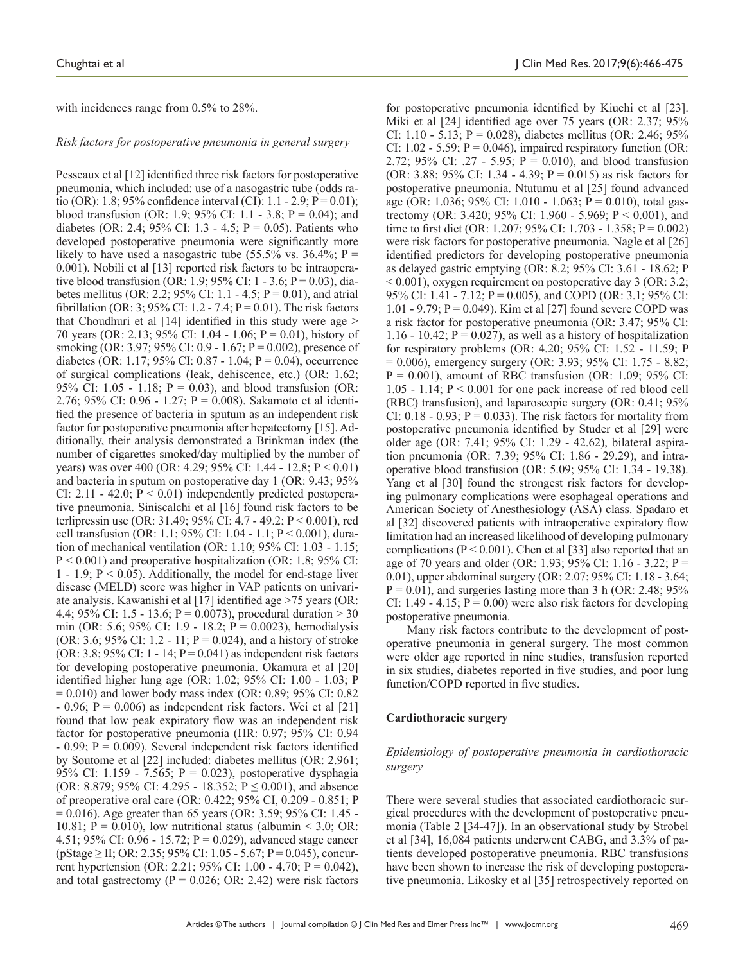with incidences range from 0.5% to 28%.

#### *Risk factors for postoperative pneumonia in general surgery*

Pesseaux et al [12] identified three risk factors for postoperative pneumonia, which included: use of a nasogastric tube (odds ratio (OR): 1.8; 95% confidence interval (CI): 1.1 - 2.9;  $P = 0.01$ ); blood transfusion (OR: 1.9; 95% CI: 1.1 - 3.8;  $P = 0.04$ ); and diabetes (OR: 2.4; 95% CI: 1.3 - 4.5;  $P = 0.05$ ). Patients who developed postoperative pneumonia were significantly more likely to have used a nasogastric tube (55.5% vs. 36.4%;  $P =$ 0.001). Nobili et al [13] reported risk factors to be intraoperative blood transfusion (OR: 1.9; 95% CI: 1 - 3.6;  $P = 0.03$ ), diabetes mellitus (OR: 2.2; 95% CI: 1.1 - 4.5;  $P = 0.01$ ), and atrial fibrillation (OR: 3; 95% CI: 1.2 - 7.4;  $P = 0.01$ ). The risk factors that Choudhuri et al  $[14]$  identified in this study were age  $>$ 70 years (OR: 2.13; 95% CI: 1.04 - 1.06; P = 0.01), history of smoking (OR: 3.97; 95% CI: 0.9 - 1.67; P = 0.002), presence of diabetes (OR: 1.17; 95% CI: 0.87 - 1.04;  $P = 0.04$ ), occurrence of surgical complications (leak, dehiscence, etc.) (OR: 1.62; 95% CI:  $1.05 - 1.18$ ;  $P = 0.03$ ), and blood transfusion (OR: 2.76; 95% CI: 0.96 - 1.27; P = 0.008). Sakamoto et al identified the presence of bacteria in sputum as an independent risk factor for postoperative pneumonia after hepatectomy [15]. Additionally, their analysis demonstrated a Brinkman index (the number of cigarettes smoked/day multiplied by the number of years) was over 400 (OR: 4.29; 95% CI: 1.44 - 12.8; P < 0.01) and bacteria in sputum on postoperative day 1 (OR: 9.43; 95% CI: 2.11 - 42.0;  $P < 0.01$ ) independently predicted postoperative pneumonia. Siniscalchi et al [16] found risk factors to be terlipressin use (OR: 31.49; 95% CI: 4.7 - 49.2; P < 0.001), red cell transfusion (OR: 1.1; 95% CI: 1.04 - 1.1; P < 0.001), duration of mechanical ventilation (OR: 1.10; 95% CI: 1.03 - 1.15;  $P < 0.001$ ) and preoperative hospitalization (OR: 1.8; 95% CI: 1 - 1.9;  $P \le 0.05$ ). Additionally, the model for end-stage liver disease (MELD) score was higher in VAP patients on univariate analysis. Kawanishi et al [17] identified age >75 years (OR: 4.4; 95% CI: 1.5 - 13.6; P = 0.0073), procedural duration  $> 30$ min (OR: 5.6; 95% CI: 1.9 - 18.2; P = 0.0023), hemodialysis (OR: 3.6; 95% CI: 1.2 - 11;  $P = 0.024$ ), and a history of stroke (OR: 3.8; 95% CI: 1 - 14;  $P = 0.041$ ) as independent risk factors for developing postoperative pneumonia. Okamura et al [20] identified higher lung age (OR: 1.02; 95% CI: 1.00 - 1.03; P  $= 0.010$ ) and lower body mass index (OR: 0.89; 95% CI: 0.82  $- 0.96$ ; P = 0.006) as independent risk factors. Wei et al [21] found that low peak expiratory flow was an independent risk factor for postoperative pneumonia (HR: 0.97; 95% CI: 0.94  $- 0.99$ ;  $P = 0.009$ ). Several independent risk factors identified by Soutome et al [22] included: diabetes mellitus (OR: 2.961; 95% CI: 1.159 - 7.565; P = 0.023), postoperative dysphagia (OR: 8.879; 95% CI: 4.295 - 18.352;  $P \le 0.001$ ), and absence of preoperative oral care (OR: 0.422; 95% CI, 0.209 - 0.851; P = 0.016). Age greater than 65 years (OR: 3.59; 95% CI: 1.45 - 10.81;  $P = 0.010$ ), low nutritional status (albumin < 3.0; OR: 4.51; 95% CI: 0.96 - 15.72; P = 0.029), advanced stage cancer  $(pStage \geq II; OR: 2.35; 95\% CI: 1.05 - 5.67; P = 0.045)$ , concurrent hypertension (OR: 2.21; 95% CI: 1.00 - 4.70; P = 0.042), and total gastrectomy ( $P = 0.026$ ; OR: 2.42) were risk factors

for postoperative pneumonia identified by Kiuchi et al [23]. Miki et al [24] identified age over 75 years (OR: 2.37; 95% CI: 1.10 - 5.13; P = 0.028), diabetes mellitus (OR: 2.46; 95% CI:  $1.02 - 5.59$ ;  $P = 0.046$ ), impaired respiratory function (OR: 2.72; 95% CI: .27 - 5.95;  $P = 0.010$ ), and blood transfusion (OR: 3.88; 95% CI: 1.34 - 4.39; P = 0.015) as risk factors for postoperative pneumonia. Ntutumu et al [25] found advanced age (OR: 1.036; 95% CI: 1.010 - 1.063; P = 0.010), total gastrectomy (OR: 3.420; 95% CI: 1.960 - 5.969; P < 0.001), and time to first diet (OR: 1.207; 95% CI: 1.703 - 1.358; P = 0.002) were risk factors for postoperative pneumonia. Nagle et al [26] identified predictors for developing postoperative pneumonia as delayed gastric emptying (OR: 8.2; 95% CI: 3.61 - 18.62; P  $< 0.001$ ), oxygen requirement on postoperative day 3 (OR: 3.2; 95% CI: 1.41 - 7.12; P = 0.005), and COPD (OR: 3.1; 95% CI: 1.01 - 9.79;  $P = 0.049$ ). Kim et al [27] found severe COPD was a risk factor for postoperative pneumonia (OR: 3.47; 95% CI: 1.16 - 10.42;  $P = 0.027$ ), as well as a history of hospitalization for respiratory problems (OR: 4.20; 95% CI: 1.52 - 11.59; P  $= 0.006$ ), emergency surgery (OR: 3.93; 95% CI: 1.75 - 8.82;  $P = 0.001$ ), amount of RBC transfusion (OR: 1.09; 95% CI: 1.05 - 1.14;  $P \le 0.001$  for one pack increase of red blood cell (RBC) transfusion), and laparoscopic surgery (OR: 0.41; 95% CI:  $0.18 - 0.93$ ; P = 0.033). The risk factors for mortality from postoperative pneumonia identified by Studer et al [29] were older age (OR: 7.41; 95% CI: 1.29 - 42.62), bilateral aspiration pneumonia (OR: 7.39; 95% CI: 1.86 - 29.29), and intraoperative blood transfusion (OR: 5.09; 95% CI: 1.34 - 19.38). Yang et al [30] found the strongest risk factors for developing pulmonary complications were esophageal operations and American Society of Anesthesiology (ASA) class. Spadaro et al [32] discovered patients with intraoperative expiratory flow limitation had an increased likelihood of developing pulmonary complications ( $P < 0.001$ ). Chen et al [33] also reported that an age of 70 years and older (OR: 1.93; 95% CI: 1.16 - 3.22; P = 0.01), upper abdominal surgery (OR: 2.07; 95% CI: 1.18 - 3.64;  $P = 0.01$ ), and surgeries lasting more than 3 h (OR: 2.48; 95%) CI: 1.49 - 4.15;  $P = 0.00$ ) were also risk factors for developing postoperative pneumonia.

Many risk factors contribute to the development of postoperative pneumonia in general surgery. The most common were older age reported in nine studies, transfusion reported in six studies, diabetes reported in five studies, and poor lung function/COPD reported in five studies.

#### **Cardiothoracic surgery**

#### *Epidemiology of postoperative pneumonia in cardiothoracic surgery*

There were several studies that associated cardiothoracic surgical procedures with the development of postoperative pneumonia (Table 2 [34-47]). In an observational study by Strobel et al [34], 16,084 patients underwent CABG, and 3.3% of patients developed postoperative pneumonia. RBC transfusions have been shown to increase the risk of developing postoperative pneumonia. Likosky et al [35] retrospectively reported on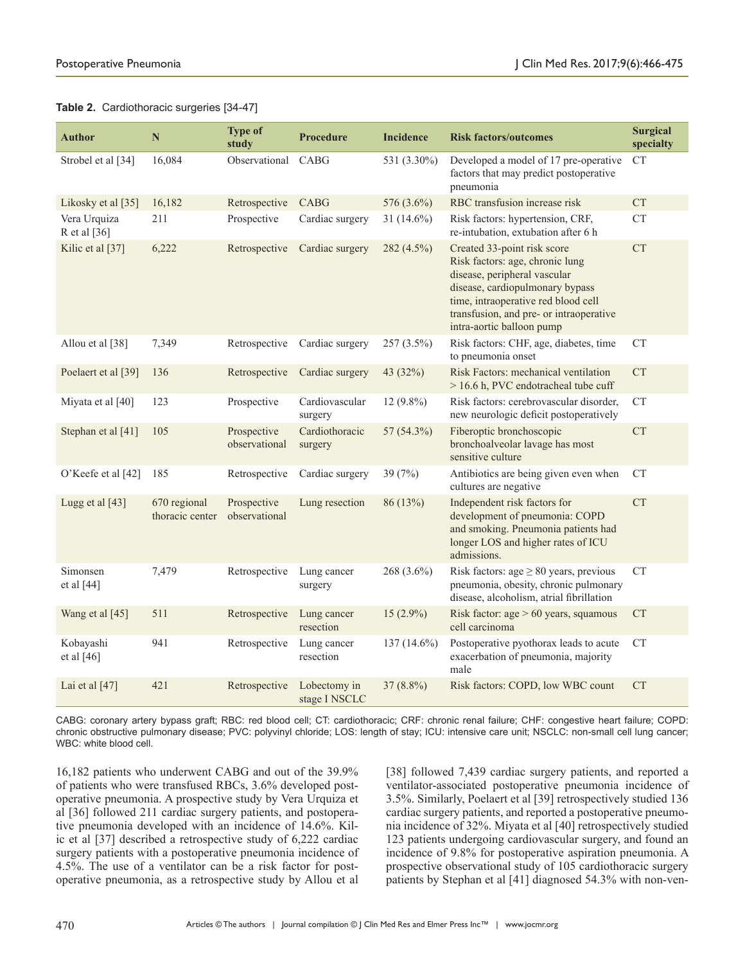## **Table 2.** Cardiothoracic surgeries [34-47]

| <b>Author</b>                | $\mathbb N$                     | <b>Type of</b><br>study      | <b>Procedure</b>              | <b>Incidence</b> | <b>Risk factors/outcomes</b>                                                                                                                                                                                                                     | Surgical<br>specialty |
|------------------------------|---------------------------------|------------------------------|-------------------------------|------------------|--------------------------------------------------------------------------------------------------------------------------------------------------------------------------------------------------------------------------------------------------|-----------------------|
| Strobel et al [34]           | 16,084                          | Observational                | CABG                          | 531 (3.30%)      | Developed a model of 17 pre-operative<br>factors that may predict postoperative<br>pneumonia                                                                                                                                                     | <b>CT</b>             |
| Likosky et al [35]           | 16,182                          | Retrospective                | CABG                          | 576 (3.6%)       | RBC transfusion increase risk                                                                                                                                                                                                                    | <b>CT</b>             |
| Vera Urquiza<br>R et al [36] | 211                             | Prospective                  | Cardiac surgery               | 31 $(14.6\%)$    | Risk factors: hypertension, CRF,<br>re-intubation, extubation after 6 h                                                                                                                                                                          | CT                    |
| Kilic et al [37]             | 6,222                           | Retrospective                | Cardiac surgery               | 282 (4.5%)       | Created 33-point risk score<br>Risk factors: age, chronic lung<br>disease, peripheral vascular<br>disease, cardiopulmonary bypass<br>time, intraoperative red blood cell<br>transfusion, and pre- or intraoperative<br>intra-aortic balloon pump | <b>CT</b>             |
| Allou et al [38]             | 7,349                           | Retrospective                | Cardiac surgery               | $257(3.5\%)$     | Risk factors: CHF, age, diabetes, time<br>to pneumonia onset                                                                                                                                                                                     | CT                    |
| Poelaert et al [39]          | 136                             | Retrospective                | Cardiac surgery               | 43 (32%)         | Risk Factors: mechanical ventilation<br>> 16.6 h, PVC endotracheal tube cuff                                                                                                                                                                     | <b>CT</b>             |
| Miyata et al [40]            | 123                             | Prospective                  | Cardiovascular<br>surgery     | $12(9.8\%)$      | Risk factors: cerebrovascular disorder,<br>new neurologic deficit postoperatively                                                                                                                                                                | <b>CT</b>             |
| Stephan et al [41]           | 105                             | Prospective<br>observational | Cardiothoracic<br>surgery     | 57 (54.3%)       | Fiberoptic bronchoscopic<br>bronchoalveolar lavage has most<br>sensitive culture                                                                                                                                                                 | ${\cal C}{\cal T}$    |
| O'Keefe et al [42]           | 185                             | Retrospective                | Cardiac surgery               | 39 $(7%)$        | Antibiotics are being given even when<br>cultures are negative                                                                                                                                                                                   | <b>CT</b>             |
| Lugg et al [43]              | 670 regional<br>thoracic center | Prospective<br>observational | Lung resection                | 86 (13%)         | Independent risk factors for<br>development of pneumonia: COPD<br>and smoking. Pneumonia patients had<br>longer LOS and higher rates of ICU<br>admissions.                                                                                       | <b>CT</b>             |
| Simonsen<br>et al $[44]$     | 7,479                           | Retrospective                | Lung cancer<br>surgery        | 268 (3.6%)       | Risk factors: $age \geq 80$ years, previous<br>pneumonia, obesity, chronic pulmonary<br>disease, alcoholism, atrial fibrillation                                                                                                                 | <b>CT</b>             |
| Wang et al [45]              | 511                             | Retrospective                | Lung cancer<br>resection      | $15(2.9\%)$      | Risk factor: $age > 60 \text{ years}$ , squamous<br>cell carcinoma                                                                                                                                                                               | <b>CT</b>             |
| Kobayashi<br>et al $[46]$    | 941                             | Retrospective                | Lung cancer<br>resection      | $137(14.6\%)$    | Postoperative pyothorax leads to acute<br>exacerbation of pneumonia, majority<br>male                                                                                                                                                            | <b>CT</b>             |
| Lai et al $[47]$             | 421                             | Retrospective                | Lobectomy in<br>stage I NSCLC | $37(8.8\%)$      | Risk factors: COPD, low WBC count                                                                                                                                                                                                                | <b>CT</b>             |

CABG: coronary artery bypass graft; RBC: red blood cell; CT: cardiothoracic; CRF: chronic renal failure; CHF: congestive heart failure; COPD: chronic obstructive pulmonary disease; PVC: polyvinyl chloride; LOS: length of stay; ICU: intensive care unit; NSCLC: non-small cell lung cancer; WBC: white blood cell.

16,182 patients who underwent CABG and out of the 39.9% of patients who were transfused RBCs, 3.6% developed postoperative pneumonia. A prospective study by Vera Urquiza et al [36] followed 211 cardiac surgery patients, and postoperative pneumonia developed with an incidence of 14.6%. Kilic et al [37] described a retrospective study of 6,222 cardiac surgery patients with a postoperative pneumonia incidence of 4.5%. The use of a ventilator can be a risk factor for postoperative pneumonia, as a retrospective study by Allou et al [38] followed 7,439 cardiac surgery patients, and reported a ventilator-associated postoperative pneumonia incidence of 3.5%. Similarly, Poelaert et al [39] retrospectively studied 136 cardiac surgery patients, and reported a postoperative pneumonia incidence of 32%. Miyata et al [40] retrospectively studied 123 patients undergoing cardiovascular surgery, and found an incidence of 9.8% for postoperative aspiration pneumonia. A prospective observational study of 105 cardiothoracic surgery patients by Stephan et al [41] diagnosed 54.3% with non-ven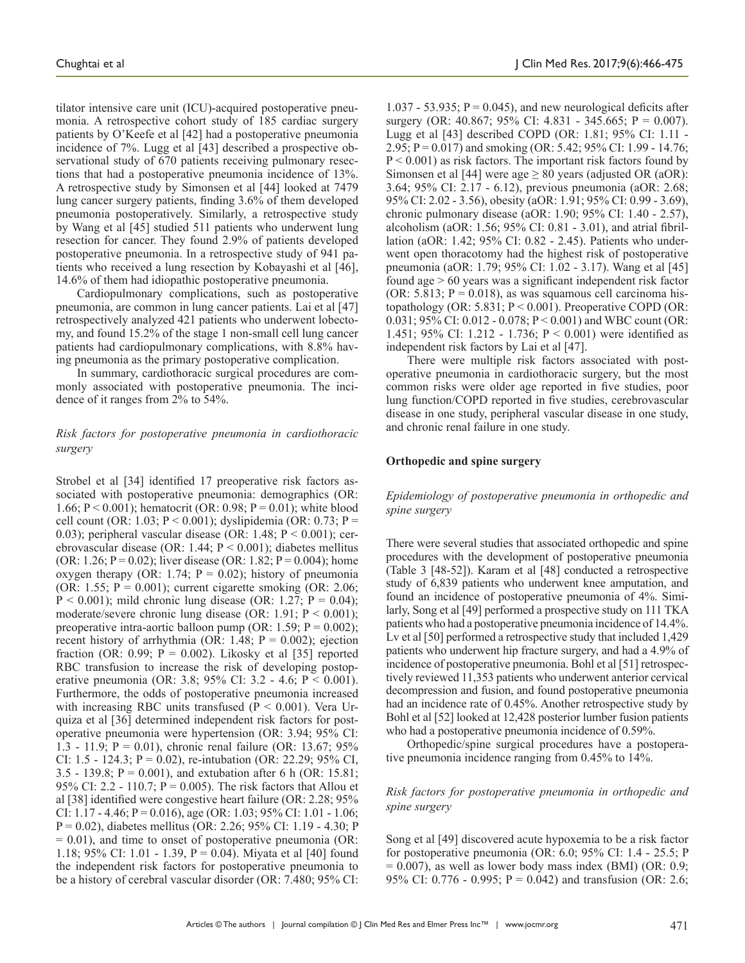tilator intensive care unit (ICU)-acquired postoperative pneumonia. A retrospective cohort study of 185 cardiac surgery patients by O'Keefe et al [42] had a postoperative pneumonia incidence of 7%. Lugg et al [43] described a prospective observational study of 670 patients receiving pulmonary resections that had a postoperative pneumonia incidence of 13%. A retrospective study by Simonsen et al [44] looked at 7479 lung cancer surgery patients, finding 3.6% of them developed pneumonia postoperatively. Similarly, a retrospective study by Wang et al [45] studied 511 patients who underwent lung resection for cancer. They found 2.9% of patients developed postoperative pneumonia. In a retrospective study of 941 patients who received a lung resection by Kobayashi et al [46], 14.6% of them had idiopathic postoperative pneumonia.

Cardiopulmonary complications, such as postoperative pneumonia, are common in lung cancer patients. Lai et al [47] retrospectively analyzed 421 patients who underwent lobectomy, and found 15.2% of the stage 1 non-small cell lung cancer patients had cardiopulmonary complications, with 8.8% having pneumonia as the primary postoperative complication.

In summary, cardiothoracic surgical procedures are commonly associated with postoperative pneumonia. The incidence of it ranges from 2% to 54%.

## *Risk factors for postoperative pneumonia in cardiothoracic surgery*

Strobel et al [34] identified 17 preoperative risk factors associated with postoperative pneumonia: demographics (OR: 1.66; P < 0.001); hematocrit (OR: 0.98; P = 0.01); white blood cell count (OR: 1.03;  $P < 0.001$ ); dyslipidemia (OR: 0.73;  $P =$ 0.03); peripheral vascular disease (OR:  $1.48$ ;  $P < 0.001$ ); cerebrovascular disease (OR: 1.44;  $P \le 0.001$ ); diabetes mellitus (OR: 1.26; P = 0.02); liver disease (OR: 1.82; P = 0.004); home oxygen therapy (OR: 1.74;  $P = 0.02$ ); history of pneumonia (OR: 1.55;  $P = 0.001$ ); current cigarette smoking (OR: 2.06;  $P < 0.001$ ); mild chronic lung disease (OR: 1.27;  $P = 0.04$ ); moderate/severe chronic lung disease (OR: 1.91;  $P < 0.001$ ); preoperative intra-aortic balloon pump (OR: 1.59;  $P = 0.002$ ); recent history of arrhythmia (OR: 1.48;  $P = 0.002$ ); ejection fraction (OR: 0.99;  $P = 0.002$ ). Likosky et al [35] reported RBC transfusion to increase the risk of developing postoperative pneumonia (OR: 3.8; 95% CI: 3.2 - 4.6; P < 0.001). Furthermore, the odds of postoperative pneumonia increased with increasing RBC units transfused ( $P < 0.001$ ). Vera Urquiza et al [36] determined independent risk factors for postoperative pneumonia were hypertension (OR: 3.94; 95% CI: 1.3 - 11.9; P = 0.01), chronic renal failure (OR: 13.67; 95% CI: 1.5 - 124.3;  $P = 0.02$ ), re-intubation (OR: 22.29; 95% CI, 3.5 - 139.8;  $P = 0.001$ ), and extubation after 6 h (OR: 15.81; 95% CI: 2.2 - 110.7;  $P = 0.005$ ). The risk factors that Allou et al [38] identified were congestive heart failure (OR: 2.28; 95% CI: 1.17 - 4.46; P = 0.016), age (OR: 1.03; 95% CI: 1.01 - 1.06; P = 0.02), diabetes mellitus (OR: 2.26; 95% CI: 1.19 - 4.30; P  $= 0.01$ ), and time to onset of postoperative pneumonia (OR: 1.18; 95% CI: 1.01 - 1.39, P = 0.04). Miyata et al [40] found the independent risk factors for postoperative pneumonia to be a history of cerebral vascular disorder (OR: 7.480; 95% CI:

1.037 - 53.935;  $P = 0.045$ ), and new neurological deficits after surgery (OR: 40.867; 95% CI: 4.831 - 345.665; P = 0.007). Lugg et al [43] described COPD (OR: 1.81; 95% CI: 1.11 - 2.95; P = 0.017) and smoking (OR: 5.42; 95% CI: 1.99 - 14.76;  $P < 0.001$ ) as risk factors. The important risk factors found by Simonsen et al [44] were age  $\geq 80$  years (adjusted OR (aOR): 3.64; 95% CI: 2.17 - 6.12), previous pneumonia (aOR: 2.68; 95% CI: 2.02 - 3.56), obesity (aOR: 1.91; 95% CI: 0.99 - 3.69), chronic pulmonary disease (aOR: 1.90; 95% CI: 1.40 - 2.57), alcoholism (aOR: 1.56; 95% CI: 0.81 - 3.01), and atrial fibrillation (aOR: 1.42; 95% CI: 0.82 - 2.45). Patients who underwent open thoracotomy had the highest risk of postoperative pneumonia (aOR: 1.79; 95% CI: 1.02 - 3.17). Wang et al [45] found age > 60 years was a significant independent risk factor (OR: 5.813;  $P = 0.018$ ), as was squamous cell carcinoma histopathology (OR:  $5.831$ ;  $P < 0.001$ ). Preoperative COPD (OR: 0.031; 95% CI: 0.012 - 0.078; P < 0.001) and WBC count (OR: 1.451; 95% CI: 1.212 - 1.736; P < 0.001) were identified as independent risk factors by Lai et al [47].

There were multiple risk factors associated with postoperative pneumonia in cardiothoracic surgery, but the most common risks were older age reported in five studies, poor lung function/COPD reported in five studies, cerebrovascular disease in one study, peripheral vascular disease in one study, and chronic renal failure in one study.

#### **Orthopedic and spine surgery**

*Epidemiology of postoperative pneumonia in orthopedic and spine surgery*

There were several studies that associated orthopedic and spine procedures with the development of postoperative pneumonia (Table 3 [48-52]). Karam et al [48] conducted a retrospective study of 6,839 patients who underwent knee amputation, and found an incidence of postoperative pneumonia of 4%. Similarly, Song et al [49] performed a prospective study on 111 TKA patients who had a postoperative pneumonia incidence of 14.4%. Lv et al [50] performed a retrospective study that included 1,429 patients who underwent hip fracture surgery, and had a 4.9% of incidence of postoperative pneumonia. Bohl et al [51] retrospectively reviewed 11,353 patients who underwent anterior cervical decompression and fusion, and found postoperative pneumonia had an incidence rate of 0.45%. Another retrospective study by Bohl et al [52] looked at 12,428 posterior lumber fusion patients who had a postoperative pneumonia incidence of 0.59%.

Orthopedic/spine surgical procedures have a postoperative pneumonia incidence ranging from 0.45% to 14%.

#### *Risk factors for postoperative pneumonia in orthopedic and spine surgery*

Song et al [49] discovered acute hypoxemia to be a risk factor for postoperative pneumonia (OR: 6.0; 95% CI: 1.4 - 25.5; P  $= 0.007$ ), as well as lower body mass index (BMI) (OR: 0.9; 95% CI: 0.776 - 0.995;  $P = 0.042$ ) and transfusion (OR: 2.6;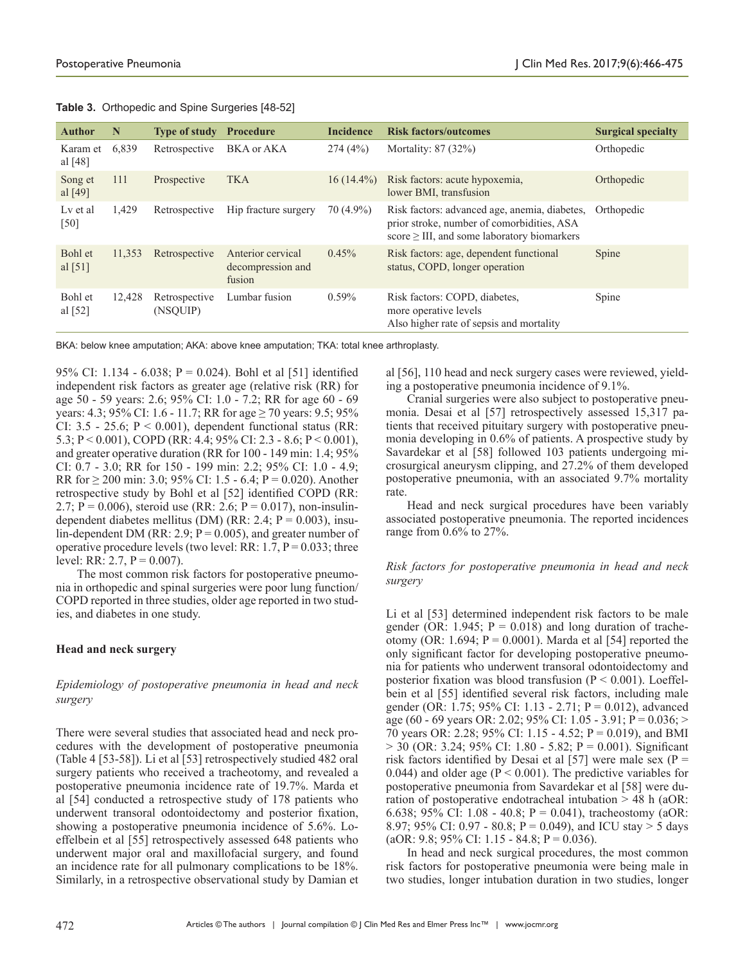| <b>Author</b>         | N      | <b>Type of study</b>      | <b>Procedure</b>                                 | <b>Incidence</b> | <b>Risk factors/outcomes</b>                                                                                                                     | <b>Surgical specialty</b> |
|-----------------------|--------|---------------------------|--------------------------------------------------|------------------|--------------------------------------------------------------------------------------------------------------------------------------------------|---------------------------|
| Karam et<br>al $[48]$ | 6,839  | Retrospective             | BKA or AKA                                       | 274(4%)          | Mortality: 87 (32%)                                                                                                                              | Orthopedic                |
| Song et<br>al [49]    | 111    | Prospective               | <b>TKA</b>                                       | $16(14.4\%)$     | Risk factors: acute hypoxemia.<br>lower BMI, transfusion                                                                                         | Orthopedic                |
| Ly et al<br>[50]      | 1,429  | Retrospective             | Hip fracture surgery                             | $70(4.9\%)$      | Risk factors: advanced age, anemia, diabetes,<br>prior stroke, number of comorbidities, ASA<br>$score \geq III$ , and some laboratory biomarkers | Orthopedic                |
| Bohl et<br>al $[51]$  | 11,353 | Retrospective             | Anterior cervical<br>decompression and<br>fusion | 0.45%            | Risk factors: age, dependent functional<br>status, COPD, longer operation                                                                        | Spine                     |
| Bohl et<br>al [52]    | 12,428 | Retrospective<br>(NSQUIP) | Lumbar fusion                                    | $0.59\%$         | Risk factors: COPD, diabetes,<br>more operative levels<br>Also higher rate of sepsis and mortality                                               | Spine                     |

**Table 3.** Orthopedic and Spine Surgeries [48-52]

BKA: below knee amputation; AKA: above knee amputation; TKA: total knee arthroplasty.

95% CI: 1.134 - 6.038; P = 0.024). Bohl et al [51] identified independent risk factors as greater age (relative risk (RR) for age 50 - 59 years: 2.6; 95% CI: 1.0 - 7.2; RR for age 60 - 69 years: 4.3; 95% CI: 1.6 - 11.7; RR for age  $\geq$  70 years: 9.5; 95% CI:  $3.5 - 25.6$ ;  $P < 0.001$ ), dependent functional status (RR: 5.3; P < 0.001), COPD (RR: 4.4; 95% CI: 2.3 - 8.6; P < 0.001), and greater operative duration (RR for 100 - 149 min: 1.4; 95% CI: 0.7 - 3.0; RR for 150 - 199 min: 2.2; 95% CI: 1.0 - 4.9; RR for  $\geq$  200 min: 3.0; 95% CI: 1.5 - 6.4; P = 0.020). Another retrospective study by Bohl et al [52] identified COPD (RR: 2.7; P = 0.006), steroid use (RR: 2.6; P = 0.017), non-insulindependent diabetes mellitus (DM) (RR: 2.4;  $P = 0.003$ ), insulin-dependent DM (RR: 2.9;  $P = 0.005$ ), and greater number of operative procedure levels (two level: RR:  $1.7$ ,  $P = 0.033$ ; three level: RR: 2.7,  $P = 0.007$ ).

The most common risk factors for postoperative pneumonia in orthopedic and spinal surgeries were poor lung function/ COPD reported in three studies, older age reported in two studies, and diabetes in one study.

## **Head and neck surgery**

*Epidemiology of postoperative pneumonia in head and neck surgery*

There were several studies that associated head and neck procedures with the development of postoperative pneumonia (Table 4 [53-58]). Li et al [53] retrospectively studied 482 oral surgery patients who received a tracheotomy, and revealed a postoperative pneumonia incidence rate of 19.7%. Marda et al [54] conducted a retrospective study of 178 patients who underwent transoral odontoidectomy and posterior fixation, showing a postoperative pneumonia incidence of 5.6%. Loeffelbein et al [55] retrospectively assessed 648 patients who underwent major oral and maxillofacial surgery, and found an incidence rate for all pulmonary complications to be 18%. Similarly, in a retrospective observational study by Damian et al [56], 110 head and neck surgery cases were reviewed, yielding a postoperative pneumonia incidence of 9.1%.

Cranial surgeries were also subject to postoperative pneumonia. Desai et al [57] retrospectively assessed 15,317 patients that received pituitary surgery with postoperative pneumonia developing in 0.6% of patients. A prospective study by Savardekar et al [58] followed 103 patients undergoing microsurgical aneurysm clipping, and 27.2% of them developed postoperative pneumonia, with an associated 9.7% mortality rate.

Head and neck surgical procedures have been variably associated postoperative pneumonia. The reported incidences range from 0.6% to 27%.

## *Risk factors for postoperative pneumonia in head and neck surgery*

Li et al [53] determined independent risk factors to be male gender (OR: 1.945;  $P = 0.018$ ) and long duration of tracheotomy (OR: 1.694;  $P = 0.0001$ ). Marda et al [54] reported the only significant factor for developing postoperative pneumonia for patients who underwent transoral odontoidectomy and posterior fixation was blood transfusion ( $P < 0.001$ ). Loeffelbein et al [55] identified several risk factors, including male gender (OR: 1.75; 95% CI: 1.13 - 2.71; P = 0.012), advanced age (60 - 69 years OR: 2.02; 95% CI: 1.05 - 3.91; P = 0.036; > 70 years OR: 2.28; 95% CI: 1.15 - 4.52; P = 0.019), and BMI  $>$  30 (OR: 3.24; 95% CI: 1.80 - 5.82; P = 0.001). Significant risk factors identified by Desai et al [57] were male sex ( $P =$ 0.044) and older age ( $P < 0.001$ ). The predictive variables for postoperative pneumonia from Savardekar et al [58] were duration of postoperative endotracheal intubation > 48 h (aOR: 6.638; 95% CI: 1.08 - 40.8; P = 0.041), tracheostomy (aOR: 8.97; 95% CI: 0.97 - 80.8; P = 0.049), and ICU stay > 5 days  $(aOR: 9.8; 95\% \text{ CI: } 1.15 - 84.8; P = 0.036).$ 

In head and neck surgical procedures, the most common risk factors for postoperative pneumonia were being male in two studies, longer intubation duration in two studies, longer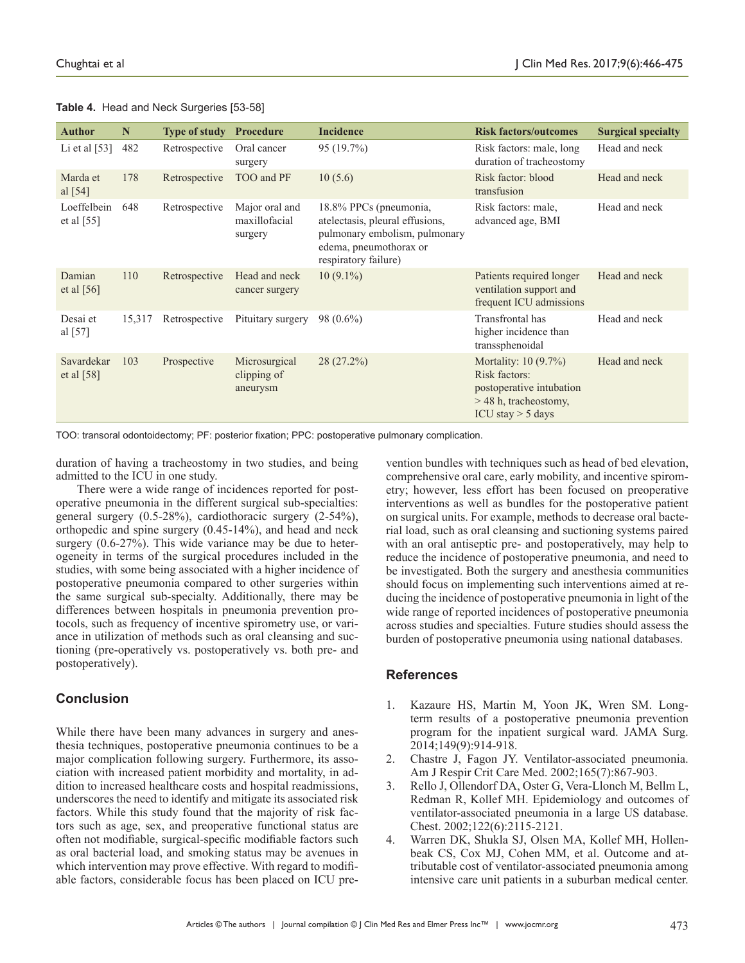|  |  | Table 4. Head and Neck Surgeries [53-58] |  |
|--|--|------------------------------------------|--|
|--|--|------------------------------------------|--|

| <b>Author</b>               | N      | <b>Type of study</b> | <b>Procedure</b>                           | <b>Incidence</b>                                                                                                                             | <b>Risk factors/outcomes</b>                                                                                         | <b>Surgical specialty</b> |
|-----------------------------|--------|----------------------|--------------------------------------------|----------------------------------------------------------------------------------------------------------------------------------------------|----------------------------------------------------------------------------------------------------------------------|---------------------------|
| Li et al $[53]$             | 482    | Retrospective        | Oral cancer<br>surgery                     | 95 (19.7%)                                                                                                                                   | Risk factors: male, long<br>duration of tracheostomy                                                                 | Head and neck             |
| Marda et<br>al [54]         | 178    | Retrospective        | TOO and PF                                 | 10(5.6)                                                                                                                                      | Risk factor: blood<br>transfusion                                                                                    | Head and neck             |
| Loeffelbein<br>et al $[55]$ | 648    | Retrospective        | Major oral and<br>maxillofacial<br>surgery | 18.8% PPCs (pneumonia,<br>atelectasis, pleural effusions,<br>pulmonary embolism, pulmonary<br>edema, pneumothorax or<br>respiratory failure) | Risk factors: male,<br>advanced age, BMI                                                                             | Head and neck             |
| Damian<br>et al $[56]$      | 110    | Retrospective        | Head and neck<br>cancer surgery            | $10(9.1\%)$                                                                                                                                  | Patients required longer<br>ventilation support and<br>frequent ICU admissions                                       | Head and neck             |
| Desai et<br>al $[57]$       | 15,317 | Retrospective        | Pituitary surgery                          | $98(0.6\%)$                                                                                                                                  | Transfrontal has<br>higher incidence than<br>transsphenoidal                                                         | Head and neck             |
| Savardekar<br>et al $[58]$  | 103    | Prospective          | Microsurgical<br>clipping of<br>aneurysm   | 28 (27.2%)                                                                                                                                   | Mortality: $10(9.7%)$<br>Risk factors:<br>postoperative intubation<br>$>$ 48 h, tracheostomy,<br>ICU stay $>$ 5 days | Head and neck             |

TOO: transoral odontoidectomy; PF: posterior fixation; PPC: postoperative pulmonary complication.

duration of having a tracheostomy in two studies, and being admitted to the ICU in one study.

There were a wide range of incidences reported for postoperative pneumonia in the different surgical sub-specialties: general surgery (0.5-28%), cardiothoracic surgery (2-54%), orthopedic and spine surgery (0.45-14%), and head and neck surgery  $(0.6-27%)$ . This wide variance may be due to heterogeneity in terms of the surgical procedures included in the studies, with some being associated with a higher incidence of postoperative pneumonia compared to other surgeries within the same surgical sub-specialty. Additionally, there may be differences between hospitals in pneumonia prevention protocols, such as frequency of incentive spirometry use, or variance in utilization of methods such as oral cleansing and suctioning (pre-operatively vs. postoperatively vs. both pre- and postoperatively).

# **Conclusion**

While there have been many advances in surgery and anesthesia techniques, postoperative pneumonia continues to be a major complication following surgery. Furthermore, its association with increased patient morbidity and mortality, in addition to increased healthcare costs and hospital readmissions, underscores the need to identify and mitigate its associated risk factors. While this study found that the majority of risk factors such as age, sex, and preoperative functional status are often not modifiable, surgical-specific modifiable factors such as oral bacterial load, and smoking status may be avenues in which intervention may prove effective. With regard to modifiable factors, considerable focus has been placed on ICU prevention bundles with techniques such as head of bed elevation, comprehensive oral care, early mobility, and incentive spirometry; however, less effort has been focused on preoperative interventions as well as bundles for the postoperative patient on surgical units. For example, methods to decrease oral bacterial load, such as oral cleansing and suctioning systems paired with an oral antiseptic pre- and postoperatively, may help to reduce the incidence of postoperative pneumonia, and need to be investigated. Both the surgery and anesthesia communities should focus on implementing such interventions aimed at reducing the incidence of postoperative pneumonia in light of the wide range of reported incidences of postoperative pneumonia across studies and specialties. Future studies should assess the burden of postoperative pneumonia using national databases.

## **References**

- 1. Kazaure HS, Martin M, Yoon JK, Wren SM. Longterm results of a postoperative pneumonia prevention program for the inpatient surgical ward. JAMA Surg. 2014;149(9):914-918.
- 2. Chastre J, Fagon JY. Ventilator-associated pneumonia. Am J Respir Crit Care Med. 2002;165(7):867-903.
- 3. Rello J, Ollendorf DA, Oster G, Vera-Llonch M, Bellm L, Redman R, Kollef MH. Epidemiology and outcomes of ventilator-associated pneumonia in a large US database. Chest. 2002;122(6):2115-2121.
- 4. Warren DK, Shukla SJ, Olsen MA, Kollef MH, Hollenbeak CS, Cox MJ, Cohen MM, et al. Outcome and attributable cost of ventilator-associated pneumonia among intensive care unit patients in a suburban medical center.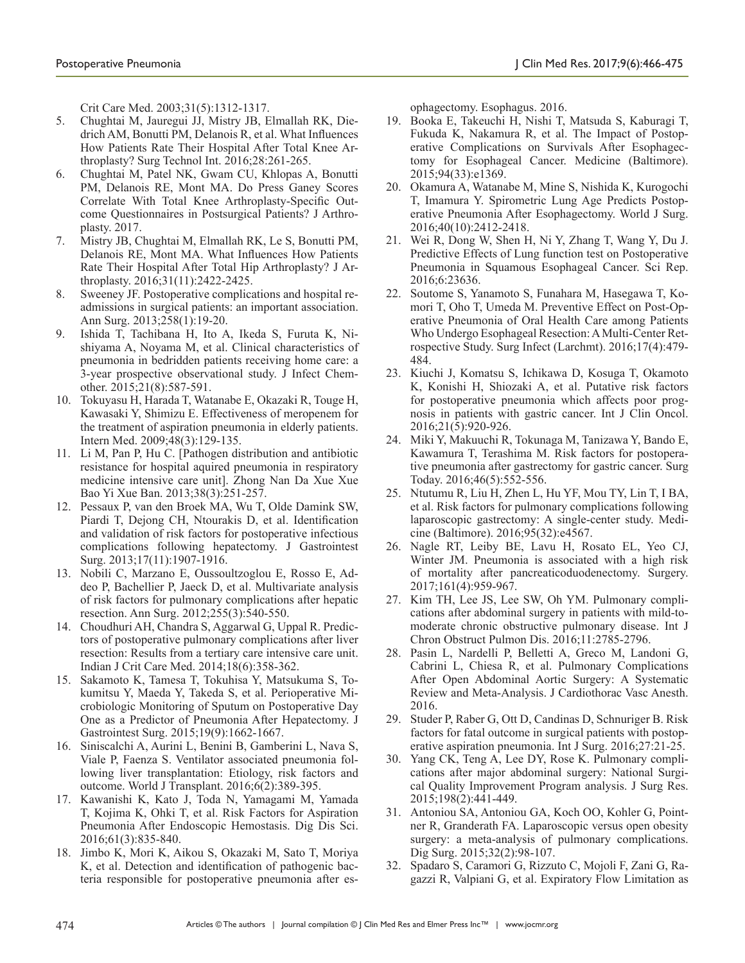Crit Care Med. 2003;31(5):1312-1317.

- 5. Chughtai M, Jauregui JJ, Mistry JB, Elmallah RK, Diedrich AM, Bonutti PM, Delanois R, et al. What Influences How Patients Rate Their Hospital After Total Knee Arthroplasty? Surg Technol Int. 2016;28:261-265.
- 6. Chughtai M, Patel NK, Gwam CU, Khlopas A, Bonutti PM, Delanois RE, Mont MA. Do Press Ganey Scores Correlate With Total Knee Arthroplasty-Specific Outcome Questionnaires in Postsurgical Patients? J Arthroplasty. 2017.
- 7. Mistry JB, Chughtai M, Elmallah RK, Le S, Bonutti PM, Delanois RE, Mont MA. What Influences How Patients Rate Their Hospital After Total Hip Arthroplasty? J Arthroplasty. 2016;31(11):2422-2425.
- 8. Sweeney JF. Postoperative complications and hospital readmissions in surgical patients: an important association. Ann Surg. 2013;258(1):19-20.
- 9. Ishida T, Tachibana H, Ito A, Ikeda S, Furuta K, Nishiyama A, Noyama M, et al. Clinical characteristics of pneumonia in bedridden patients receiving home care: a 3-year prospective observational study. J Infect Chemother. 2015;21(8):587-591.
- 10. Tokuyasu H, Harada T, Watanabe E, Okazaki R, Touge H, Kawasaki Y, Shimizu E. Effectiveness of meropenem for the treatment of aspiration pneumonia in elderly patients. Intern Med. 2009;48(3):129-135.
- 11. Li M, Pan P, Hu C. [Pathogen distribution and antibiotic resistance for hospital aquired pneumonia in respiratory medicine intensive care unit]. Zhong Nan Da Xue Xue Bao Yi Xue Ban. 2013;38(3):251-257.
- 12. Pessaux P, van den Broek MA, Wu T, Olde Damink SW, Piardi T, Dejong CH, Ntourakis D, et al. Identification and validation of risk factors for postoperative infectious complications following hepatectomy. J Gastrointest Surg. 2013;17(11):1907-1916.
- 13. Nobili C, Marzano E, Oussoultzoglou E, Rosso E, Addeo P, Bachellier P, Jaeck D, et al. Multivariate analysis of risk factors for pulmonary complications after hepatic resection. Ann Surg. 2012;255(3):540-550.
- 14. Choudhuri AH, Chandra S, Aggarwal G, Uppal R. Predictors of postoperative pulmonary complications after liver resection: Results from a tertiary care intensive care unit. Indian J Crit Care Med. 2014;18(6):358-362.
- 15. Sakamoto K, Tamesa T, Tokuhisa Y, Matsukuma S, Tokumitsu Y, Maeda Y, Takeda S, et al. Perioperative Microbiologic Monitoring of Sputum on Postoperative Day One as a Predictor of Pneumonia After Hepatectomy. J Gastrointest Surg. 2015;19(9):1662-1667.
- 16. Siniscalchi A, Aurini L, Benini B, Gamberini L, Nava S, Viale P, Faenza S. Ventilator associated pneumonia following liver transplantation: Etiology, risk factors and outcome. World J Transplant. 2016;6(2):389-395.
- 17. Kawanishi K, Kato J, Toda N, Yamagami M, Yamada T, Kojima K, Ohki T, et al. Risk Factors for Aspiration Pneumonia After Endoscopic Hemostasis. Dig Dis Sci. 2016;61(3):835-840.
- 18. Jimbo K, Mori K, Aikou S, Okazaki M, Sato T, Moriya K, et al. Detection and identification of pathogenic bacteria responsible for postoperative pneumonia after es-

ophagectomy. Esophagus. 2016.

- 19. Booka E, Takeuchi H, Nishi T, Matsuda S, Kaburagi T, Fukuda K, Nakamura R, et al. The Impact of Postoperative Complications on Survivals After Esophagectomy for Esophageal Cancer. Medicine (Baltimore). 2015;94(33):e1369.
- 20. Okamura A, Watanabe M, Mine S, Nishida K, Kurogochi T, Imamura Y. Spirometric Lung Age Predicts Postoperative Pneumonia After Esophagectomy. World J Surg. 2016;40(10):2412-2418.
- 21. Wei R, Dong W, Shen H, Ni Y, Zhang T, Wang Y, Du J. Predictive Effects of Lung function test on Postoperative Pneumonia in Squamous Esophageal Cancer. Sci Rep. 2016;6:23636.
- 22. Soutome S, Yanamoto S, Funahara M, Hasegawa T, Komori T, Oho T, Umeda M. Preventive Effect on Post-Operative Pneumonia of Oral Health Care among Patients Who Undergo Esophageal Resection: A Multi-Center Retrospective Study. Surg Infect (Larchmt). 2016;17(4):479- 484.
- 23. Kiuchi J, Komatsu S, Ichikawa D, Kosuga T, Okamoto K, Konishi H, Shiozaki A, et al. Putative risk factors for postoperative pneumonia which affects poor prognosis in patients with gastric cancer. Int J Clin Oncol. 2016;21(5):920-926.
- 24. Miki Y, Makuuchi R, Tokunaga M, Tanizawa Y, Bando E, Kawamura T, Terashima M. Risk factors for postoperative pneumonia after gastrectomy for gastric cancer. Surg Today. 2016;46(5):552-556.
- 25. Ntutumu R, Liu H, Zhen L, Hu YF, Mou TY, Lin T, I BA, et al. Risk factors for pulmonary complications following laparoscopic gastrectomy: A single-center study. Medicine (Baltimore). 2016;95(32):e4567.
- 26. Nagle RT, Leiby BE, Lavu H, Rosato EL, Yeo CJ, Winter JM. Pneumonia is associated with a high risk of mortality after pancreaticoduodenectomy. Surgery. 2017;161(4):959-967.
- 27. Kim TH, Lee JS, Lee SW, Oh YM. Pulmonary complications after abdominal surgery in patients with mild-tomoderate chronic obstructive pulmonary disease. Int J Chron Obstruct Pulmon Dis. 2016;11:2785-2796.
- 28. Pasin L, Nardelli P, Belletti A, Greco M, Landoni G, Cabrini L, Chiesa R, et al. Pulmonary Complications After Open Abdominal Aortic Surgery: A Systematic Review and Meta-Analysis. J Cardiothorac Vasc Anesth. 2016.
- 29. Studer P, Raber G, Ott D, Candinas D, Schnuriger B. Risk factors for fatal outcome in surgical patients with postoperative aspiration pneumonia. Int J Surg. 2016;27:21-25.
- 30. Yang CK, Teng A, Lee DY, Rose K. Pulmonary complications after major abdominal surgery: National Surgical Quality Improvement Program analysis. J Surg Res. 2015;198(2):441-449.
- 31. Antoniou SA, Antoniou GA, Koch OO, Kohler G, Pointner R, Granderath FA. Laparoscopic versus open obesity surgery: a meta-analysis of pulmonary complications. Dig Surg. 2015;32(2):98-107.
- 32. Spadaro S, Caramori G, Rizzuto C, Mojoli F, Zani G, Ragazzi R, Valpiani G, et al. Expiratory Flow Limitation as